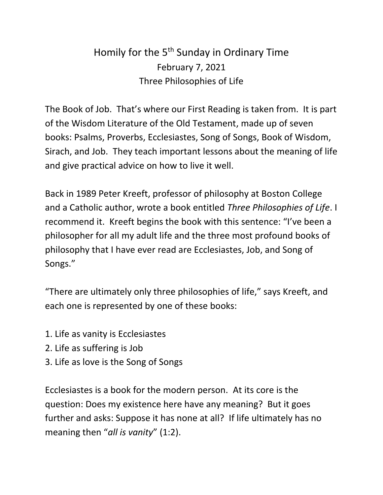## Homily for the 5<sup>th</sup> Sunday in Ordinary Time February 7, 2021 Three Philosophies of Life

The Book of Job. That's where our First Reading is taken from. It is part of the Wisdom Literature of the Old Testament, made up of seven books: Psalms, Proverbs, Ecclesiastes, Song of Songs, Book of Wisdom, Sirach, and Job. They teach important lessons about the meaning of life and give practical advice on how to live it well.

Back in 1989 Peter Kreeft, professor of philosophy at Boston College and a Catholic author, wrote a book entitled *Three Philosophies of Life*. I recommend it. Kreeft begins the book with this sentence: "I've been a philosopher for all my adult life and the three most profound books of philosophy that I have ever read are Ecclesiastes, Job, and Song of Songs."

"There are ultimately only three philosophies of life," says Kreeft, and each one is represented by one of these books:

- 1. Life as vanity is Ecclesiastes
- 2. Life as suffering is Job
- 3. Life as love is the Song of Songs

Ecclesiastes is a book for the modern person. At its core is the question: Does my existence here have any meaning? But it goes further and asks: Suppose it has none at all? If life ultimately has no meaning then "*all is vanity*" (1:2).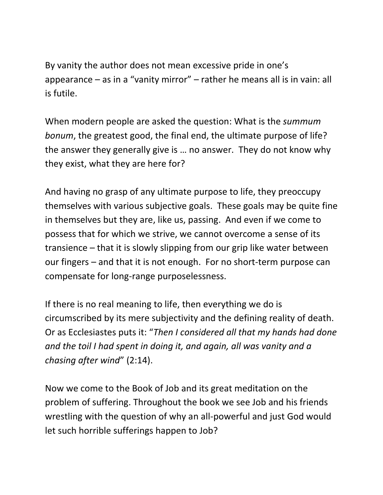By vanity the author does not mean excessive pride in one's appearance – as in a "vanity mirror" – rather he means all is in vain: all is futile.

When modern people are asked the question: What is the *summum bonum*, the greatest good, the final end, the ultimate purpose of life? the answer they generally give is … no answer. They do not know why they exist, what they are here for?

And having no grasp of any ultimate purpose to life, they preoccupy themselves with various subjective goals. These goals may be quite fine in themselves but they are, like us, passing. And even if we come to possess that for which we strive, we cannot overcome a sense of its transience – that it is slowly slipping from our grip like water between our fingers – and that it is not enough. For no short-term purpose can compensate for long-range purposelessness.

If there is no real meaning to life, then everything we do is circumscribed by its mere subjectivity and the defining reality of death. Or as Ecclesiastes puts it: "*Then I considered all that my hands had done and the toil I had spent in doing it, and again, all was vanity and a chasing after wind*" (2:14).

Now we come to the Book of Job and its great meditation on the problem of suffering. Throughout the book we see Job and his friends wrestling with the question of why an all-powerful and just God would let such horrible sufferings happen to Job?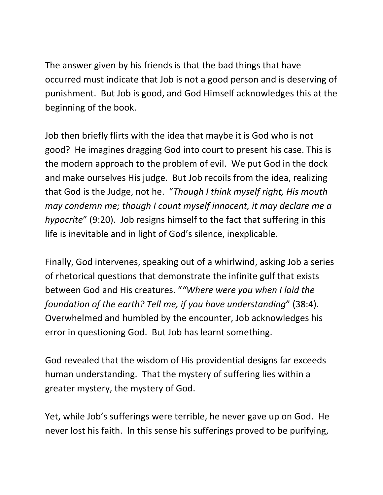The answer given by his friends is that the bad things that have occurred must indicate that Job is not a good person and is deserving of punishment. But Job is good, and God Himself acknowledges this at the beginning of the book.

Job then briefly flirts with the idea that maybe it is God who is not good? He imagines dragging God into court to present his case. This is the modern approach to the problem of evil. We put God in the dock and make ourselves His judge. But Job recoils from the idea, realizing that God is the Judge, not he. "*Though I think myself right, His mouth may condemn me; though I count myself innocent, it may declare me a hypocrite*" (9:20). Job resigns himself to the fact that suffering in this life is inevitable and in light of God's silence, inexplicable.

Finally, God intervenes, speaking out of a whirlwind, asking Job a series of rhetorical questions that demonstrate the infinite gulf that exists between God and His creatures. "*"Where were you when I laid the foundation of the earth? Tell me, if you have understanding*" (38:4). Overwhelmed and humbled by the encounter, Job acknowledges his error in questioning God. But Job has learnt something.

God revealed that the wisdom of His providential designs far exceeds human understanding. That the mystery of suffering lies within a greater mystery, the mystery of God.

Yet, while Job's sufferings were terrible, he never gave up on God. He never lost his faith. In this sense his sufferings proved to be purifying,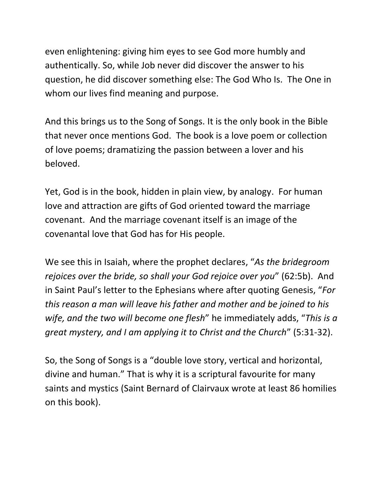even enlightening: giving him eyes to see God more humbly and authentically. So, while Job never did discover the answer to his question, he did discover something else: The God Who Is. The One in whom our lives find meaning and purpose.

And this brings us to the Song of Songs. It is the only book in the Bible that never once mentions God. The book is a love poem or collection of love poems; dramatizing the passion between a lover and his beloved.

Yet, God is in the book, hidden in plain view, by analogy. For human love and attraction are gifts of God oriented toward the marriage covenant. And the marriage covenant itself is an image of the covenantal love that God has for His people.

We see this in Isaiah, where the prophet declares, "*As the bridegroom rejoices over the bride, so shall your God rejoice over you*" (62:5b). And in Saint Paul's letter to the Ephesians where after quoting Genesis, "*For this reason a man will leave his father and mother and be joined to his wife, and the two will become one flesh*" he immediately adds, "*This is a great mystery, and I am applying it to Christ and the Church*" (5:31-32).

So, the Song of Songs is a "double love story, vertical and horizontal, divine and human." That is why it is a scriptural favourite for many saints and mystics (Saint Bernard of Clairvaux wrote at least 86 homilies on this book).